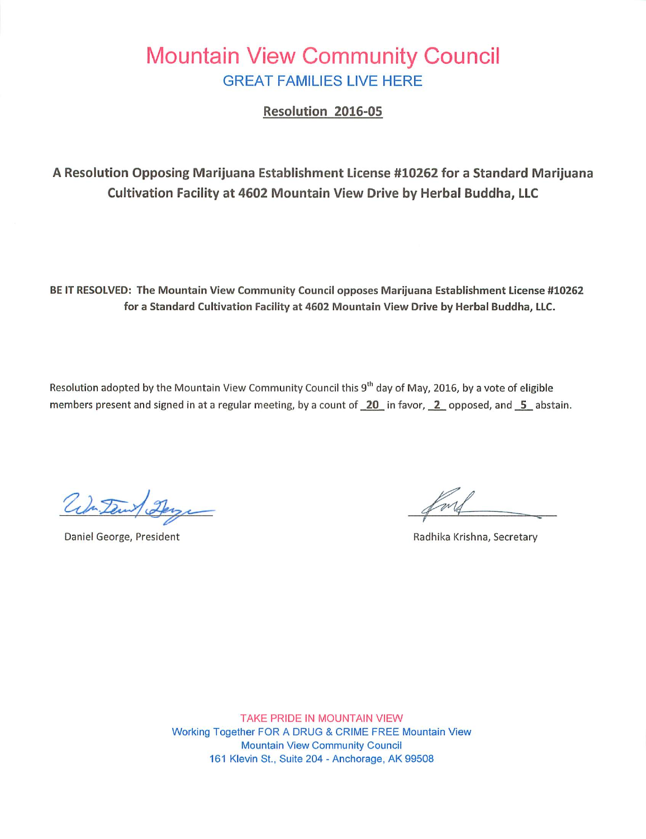### Mountain View Community Council GREAT FAMILIES LIVE HERE

Resolution 2016-05

A Resolution Opposing Marijuana Establishment License #10262 for a Standard Marijuana Cultivation Facility at 4602 Mountain View Drive by Herbal Buddha, LLC

BE IT RESOLVED: The Mountain View Community Council opposes Marijuana Establishment License #10262 for a Standard Cultivation Facility at 4602 Mountain View Drive by Herbal Buddha, LLC.

Resolution adopted by the Mountain View Community Council this 9<sup>th</sup> day of May, 2016, by a vote of eligible members present and signed in at a regular meeting, by a count of  $\overline{20}$  in favor,  $\overline{2}$  opposed, and  $\overline{5}$  abstain.

ada Daw

Daniel George, President **Radhika Krishna, Secretary** Radhika Krishna, Secretary

TAKE PRIDE IN MOUNTAIN VIEW Working Together FOR A DRUG & CRIME FREE Mountain View Mountain View Community Council 161 Klevin St., Suite 204 - Anchorage, AK 99508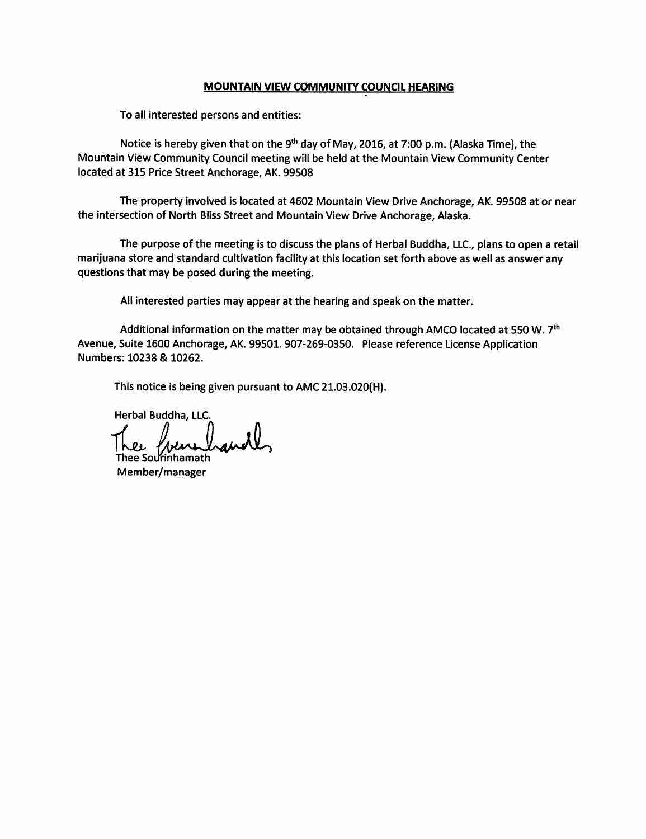#### MOUNTAIN VIEW COMMUNITY COUNCIL HEARING

To all interested persons and entities:

Notice is hereby given that on the 9<sup>th</sup> day of May, 2016, at 7:00 p.m. (Alaska Time), the Mountain View Community Council meeting will be held at the Mountain View Community Center located at 315 Price Street Anchorage, AK. 99508

The property involved is located at 4602 Mountain View Drive Anchorage, AK. 99508 at or near the intersection of North Bliss Street and Mountain View Drive Anchorage, Alaska.

The purpose of the meeting is to discuss the plans of Herbal Buddha, LLC., plans to open a retail marijuana store and standard cultivation facility at this location set forth above as well as answer any questions that may be posed during the meeting.

All interested parties may appear at the hearing and speak on the matter.

Additional information on the matter may be obtained through AMCO located at 550 W.  $7<sup>th</sup>$ Avenue, Suite 1600 Anchorage, AK. 99501.907-269-0350. Please reference License Application Numbers: 10238 & 10262.

This notice is being given pursuant to AMC 21.03.020(H).

Herbal Buddha, LLC

1ee Sourinhamath Member/manager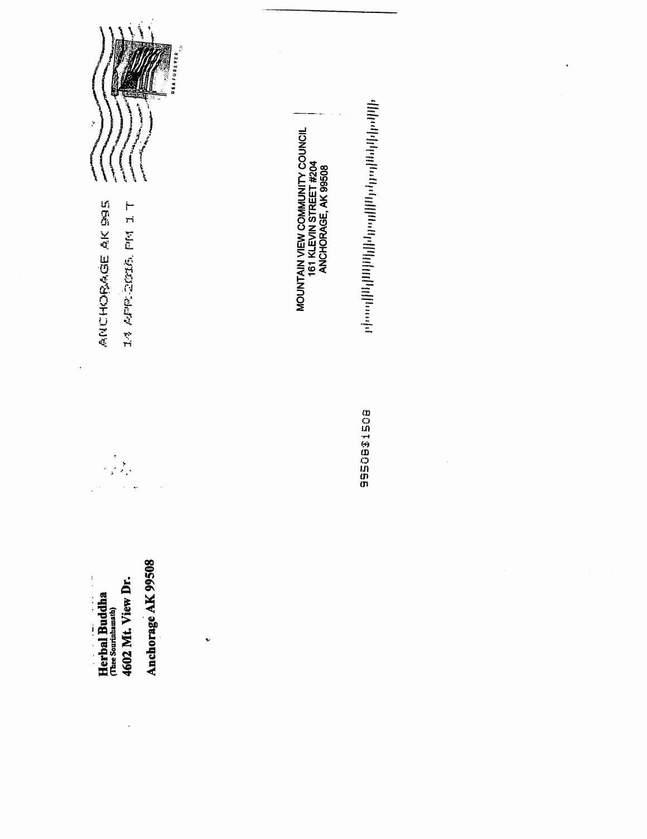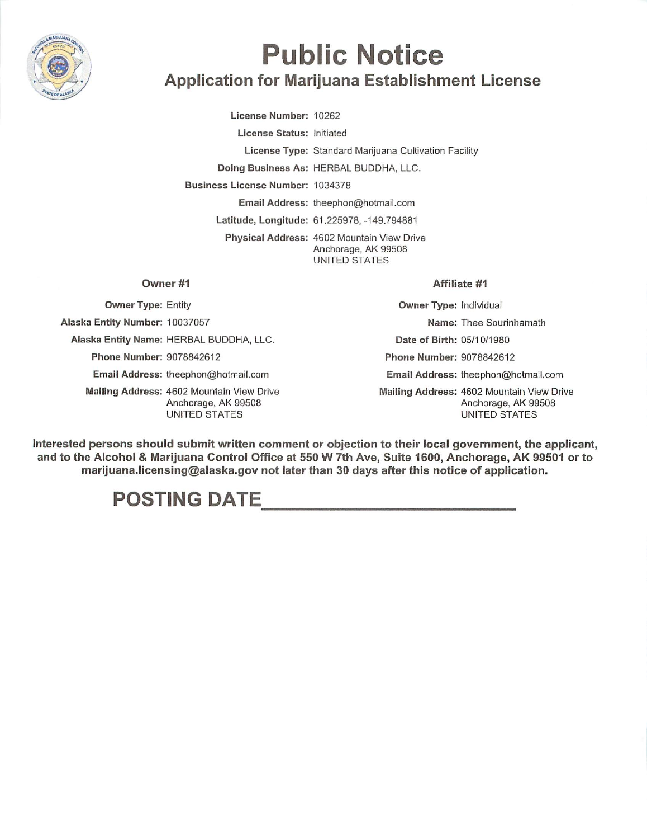

# Public Notice Application for Marijuana Establishment License

License Number: 10262

License Status: Initiated License Type: Standard Marijuana Cultivation Facility Doing Business As: HERBAL BUDDHA, LLC. Business License Number: 1034378 Email Address: theephon@hotmail.com Latitude, Longitude: 61.225978, -149.794881 Physical Address: 4602 Mountain View Drive

#### Anchorage, AK 99508 UNITED STATES

#### Owner #1

Owner Type: Entity

Alaska Entity Number: 10037057

Alaska Entity Name: HERBAL BUDDHA, LLC.

Phone Number: 9078842612

Email Address: theephon@hotmail.com

Mailing Address: 4602 Mountain View Drive Anchorage, AK 99508 UNITED STATES

Affiliate #1

Owner Type: Individual Name: Thee Sourinhamath Date of Birth: 05/10/1980 Phone Number: 9078842612 Email Address: theephon@hotrnail.com Mailing Address: 4602 Mountain View Drive Anchorage, AK 99508 UNITED STATES

Interested persons should submit written comment or objection to their local government, the applicant, and to the Alcohol & Marijuana Control Office at 550 W 7th Ave, Suite 1600, Anchorage, AK 99501 or to marijuana.licensing@alaska.gov not later than 30 days after this notice of application.

## POSTING DATE